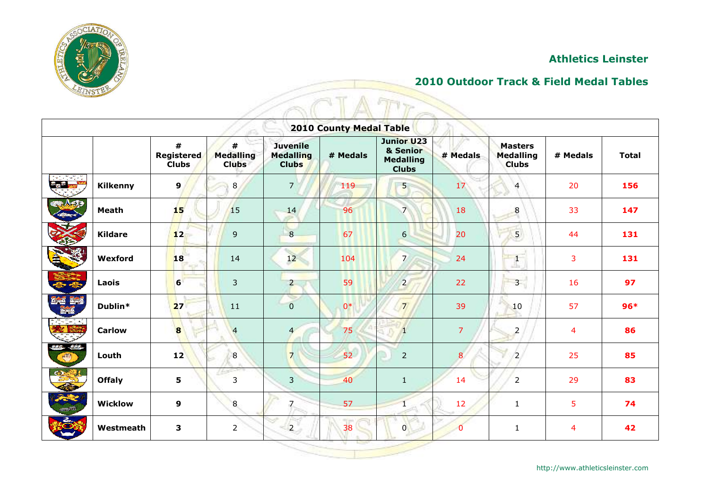

## **2010 Outdoor Track & Field Medal Tables**

|                                  | <b>ATTASTA</b>  |                                        |                                       |                                                     |                                |                                                                   |                 |                                      |          |              |  |  |  |  |  |
|----------------------------------|-----------------|----------------------------------------|---------------------------------------|-----------------------------------------------------|--------------------------------|-------------------------------------------------------------------|-----------------|--------------------------------------|----------|--------------|--|--|--|--|--|
|                                  |                 |                                        |                                       |                                                     | <b>2010 County Medal Table</b> |                                                                   |                 |                                      |          |              |  |  |  |  |  |
|                                  |                 | #<br><b>Registered</b><br><b>Clubs</b> | #<br><b>Medalling</b><br><b>Clubs</b> | <b>Juvenile</b><br><b>Medalling</b><br><b>Clubs</b> | # Medals                       | <b>Junior U23</b><br>& Senior<br><b>Medalling</b><br><b>Clubs</b> | # Medals        | Masters<br>Medalling<br><b>Clubs</b> | # Medals | <b>Total</b> |  |  |  |  |  |
| <b><i><u>Contraction</u></i></b> | <b>Kilkenny</b> | 9                                      | 8                                     | $\overline{7}$                                      | 119                            | $5\overline{)}$                                                   | 17 <sup>°</sup> | $\overline{4}$                       | 20       | 156          |  |  |  |  |  |
|                                  | <b>Meath</b>    | 15                                     | <b>15</b>                             | 14                                                  | 96                             | $\overline{7}$                                                    | 18              | $\boldsymbol{8}$                     | 33       | 147          |  |  |  |  |  |
| <b>MARK</b>                      | <b>Kildare</b>  | 12                                     | 9                                     | 8                                                   | 67                             | 6                                                                 | 20              | $\overline{5}$                       | 44       | 131          |  |  |  |  |  |
|                                  | Wexford         | 18                                     | 14                                    | 12                                                  | 104                            | $\overline{7}$                                                    | 24              | $\mathbf{1}$                         | 3        | 131          |  |  |  |  |  |
|                                  | Laois           | 6                                      | $\mathbf{3}$                          | $\overline{2}$                                      | 59                             | $\overline{2}$                                                    | 22              | 3 <sup>1</sup>                       | 16       | 97           |  |  |  |  |  |
|                                  | Dublin*         | 27                                     | 11                                    | $\overline{0}$                                      | $0*$                           | $\overline{7}$                                                    | 39              | 10                                   | 57       | $96*$        |  |  |  |  |  |
| OHDHIMI<br>$\mathbb{R}^n$        | <b>Carlow</b>   | 8                                      | $\overline{4}$                        | $\overline{4}$                                      | 75                             | Π                                                                 | $\overline{7}$  | $\overline{2}$                       | 4        | 86           |  |  |  |  |  |
| <u>منته خفق</u><br><b>After</b>  | Louth           | 12                                     | $\boldsymbol{8}$                      | $\overline{7}$                                      | 52                             | $\overline{2}$                                                    | 8               | $\overline{2}$                       | 25       | 85           |  |  |  |  |  |
|                                  | <b>Offaly</b>   | 5                                      | œ<br>3                                | $\overline{3}$                                      | 40                             | $\mathbf{1}$                                                      | 14              | $\overline{2}$                       | 29       | 83           |  |  |  |  |  |
|                                  | <b>Wicklow</b>  | $\boldsymbol{9}$                       | 8                                     | $7 \pm$                                             | 57                             | $\mathbf{1}$                                                      | 12              | $\mathbf{1}$                         | 5        | 74           |  |  |  |  |  |
| 2.                               | Westmeath       | 3                                      | $\overline{2}$                        | $\overline{2}$                                      | $\overline{38}$                | $\overline{0}$                                                    | $\overline{0}$  | $1\,$                                | 4        | 42           |  |  |  |  |  |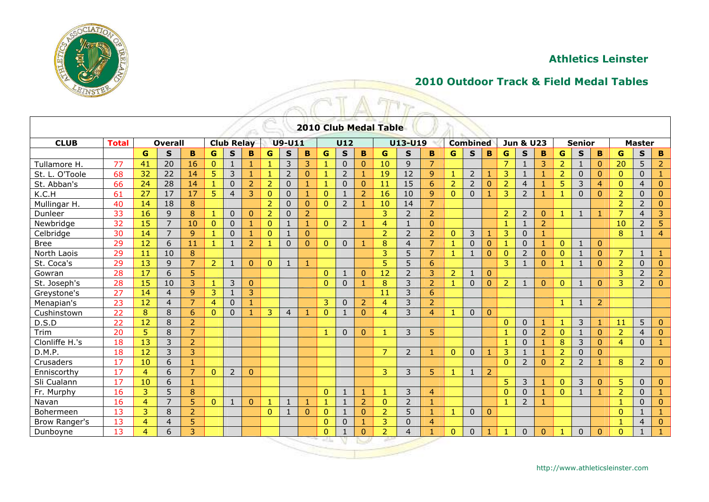

# **2010 Outdoor Track & Field Medal Tables**

|                      |              |                |                |                |                                    |                |                |                |                |                |                |                | the property of the property | <b>2010 Club Medal Table</b> |                |                |                |                 |                |                      |                         |                |                |                |                |                |                |                |
|----------------------|--------------|----------------|----------------|----------------|------------------------------------|----------------|----------------|----------------|----------------|----------------|----------------|----------------|------------------------------|------------------------------|----------------|----------------|----------------|-----------------|----------------|----------------------|-------------------------|----------------|----------------|----------------|----------------|----------------|----------------|----------------|
| <b>CLUB</b>          | <b>Total</b> |                | <b>Overall</b> |                | <b>Club Relay</b><br><b>U9-U11</b> |                |                |                |                |                |                | U12            |                              |                              | U13-U19        |                |                | <b>Combined</b> |                | <b>Jun &amp; U23</b> |                         |                | <b>Senior</b>  |                |                |                | <b>Master</b>  |                |
|                      |              | G              | $\mathbf S$    | B              | G                                  | $\mathbf{s}$   | B              | G              | $\mathbf{s}$   | B              | G              | $\mathbf{s}$   | B                            | G                            | $\mathbf S$    | B              | G              | $\mathbf{s}$    | B              | G                    | $\mathbf{s}$            | B              | G              | S              | B              | G              | $\mathbf{s}$   | $\mathbf B$    |
| Tullamore H.         | 77           | 41             | 20             | 16             | $\overline{0}$                     | $\mathbf{1}$   | 1              |                | $\overline{3}$ | 3              | $\mathbf{1}$   | $\Omega$       | $\overline{0}$               | 10                           | 9              | $\overline{7}$ |                |                 |                | $\overline{7}$       | $\overline{1}$          | 3              | $\overline{2}$ | 1              | $\mathbf{0}$   | 20             | 5              | $\overline{2}$ |
| St. L. O'Toole       | 68           | 32             | 22             | 14             | 5                                  | 3              | 1              |                | $\overline{2}$ | $\overline{0}$ | $\mathbf{1}$   | $\overline{2}$ |                              | 19                           | 12             | $\overline{9}$ | $\mathbf{1}$   | $\overline{2}$  | 1              | 3                    | $\mathbf{1}$            | 1              | $\overline{2}$ | $\Omega$       | $\Omega$       | $\Omega$       | $\Omega$       | $\mathbf{1}$   |
| St. Abban's          | 66           | 24             | 28             | 14             | $\mathbf{1}$                       | $\mathbf 0$    | $\overline{2}$ | $\overline{2}$ | $\mathbf{0}$   | 1              | 1              | $\mathbf{0}$   | $\overline{0}$               | 11                           | 15             | 6              | $\overline{2}$ | $\overline{2}$  | $\mathbf{0}$   | $\overline{2}$       | $\overline{4}$          | 1              | 5              | 3              | $\overline{4}$ | $\mathbf{0}$   | $\overline{4}$ | $\mathbf{0}$   |
| K.C.H                | 61           | 27             | 17             | 17             | 5                                  | $\overline{4}$ | 3              | $\mathbf{0}$   | $\mathbf 0$    |                | $\mathbf{0}$   | -1             | $\overline{2}$               | 16                           | 10             | $\overline{9}$ | $\mathbf{0}$   | $\Omega$        | 1              | 3                    | $\overline{2}$          |                |                | $\Omega$       | $\mathbf{0}$   | $\overline{2}$ | $\mathbf{0}$   | $\mathbf{0}$   |
| Mullingar H.         | 40           | 14             | 18             | $\bf 8$        |                                    |                |                | $\overline{2}$ | $\Omega$       | $\overline{0}$ | $\mathbf{0}$   | $\overline{2}$ |                              | 10                           | 14             | $\overline{7}$ |                |                 |                |                      |                         |                |                |                |                | $\overline{2}$ | $\overline{2}$ | $\pmb{0}$      |
| Dunleer              | 33           | 16             | 9              | 8              | $\mathbf{1}$                       | $\mathbf 0$    | $\overline{0}$ | $\overline{2}$ | $\mathbf 0$    | $\overline{2}$ |                |                |                              | 3                            | $\overline{2}$ | $\overline{2}$ |                |                 |                | $\overline{2}$       | $\overline{2}$          | $\overline{0}$ | 1              | 1              | 1              | $\overline{z}$ | $\overline{4}$ | 3              |
| Newbridge            | 32           | 15             | $\overline{7}$ | 10             | $\mathbf{0}$                       | $\mathbf 0$    | 1              | $\mathbf{0}$   | $\mathbf{1}$   | 1              | $\mathbf{0}$   | $\overline{2}$ |                              | $\overline{4}$               | 1              | $\overline{0}$ |                |                 |                | $\mathbf{1}$         | $\mathbf{1}$            | $\overline{2}$ |                |                |                | 10             | $\overline{2}$ | 5              |
| Celbridge            | 30           | 14             | $\overline{7}$ | $\overline{9}$ | $\mathbf{1}$                       | $\Omega$       |                | $\Omega$       | $\mathbf{1}$   | $\overline{0}$ |                |                |                              | $\overline{2}$               | $\overline{2}$ | $\overline{2}$ | $\mathbf{0}$   | 3               |                | 3                    | $\Omega$                |                |                |                |                | 8              |                | $\overline{4}$ |
| <b>Bree</b>          | 29           | 12             | 6              | 11             | $\mathbf{1}$                       | $\mathbf{1}$   | $\overline{2}$ |                | $\Omega$       | $\overline{0}$ | $\Omega$       | $\Omega$       |                              | 8                            | $\overline{4}$ | $\overline{7}$ | $\mathbf{1}$   | $\mathbf{0}$    | $\mathbf{0}$   | $\mathbf{1}$         | $\mathbf 0$             | 1              | $\overline{0}$ | 1              | $\mathbf{0}$   |                |                |                |
| North Laois          | 29           | 11             | 10             | 8              |                                    |                |                |                |                |                |                |                |                              | 3                            | 5              | $\overline{7}$ |                | $\mathbf{1}$    | $\mathbf{0}$   | $\mathbf 0$          | $\overline{2}$          | $\overline{0}$ | $\overline{0}$ |                | $\Omega$       | $\overline{7}$ | $\mathbf{1}$   | $\mathbf{1}$   |
| St. Coca's           | 29           | 13             | 9              | 7              | $\overline{2}$                     | $\mathbf{1}$   | $\mathbf{0}$   | $\mathbf{0}$   | 1              |                |                |                |                              | 5                            | 5              | 6              |                |                 |                | 3                    | $\overline{\mathbf{1}}$ | $\overline{0}$ | -1             |                | $\theta$       | $\overline{2}$ | $\mathbf{0}$   | $\mathbf{0}$   |
| Gowran               | 28           | 17             | 6              | 5              |                                    |                |                |                |                |                | $\mathbf{0}$   | -1             | $\Omega$                     | 12                           | $\overline{2}$ | 3              | $\overline{2}$ | $\mathbf{1}$    | $\mathbf{0}$   |                      |                         |                |                |                |                | 3              | $\overline{2}$ | $\overline{2}$ |
| St. Joseph's         | 28           | 15             | 10             | 3              |                                    | $\overline{3}$ | $\overline{0}$ |                |                |                | $\mathbf{0}$   | $\Omega$       |                              | 8                            | 3              | $\overline{2}$ |                | $\Omega$        | $\overline{0}$ | $\overline{2}$       | -1                      | $\Omega$       | $\overline{0}$ |                | $\mathbf{0}$   | 3              | 2              | $\mathbf{0}$   |
| Greystone's          | 27           | 14             | $\overline{4}$ | 9              | 3                                  | $\mathbf{1}$   | 3              |                |                |                |                |                |                              | 11                           | 3              | 6              |                |                 |                |                      |                         |                |                |                |                |                |                |                |
| Menapian's           | 23           | 12             | 4              | 7              | $\overline{4}$                     | $\mathbf{0}$   | 1              |                |                |                | 3              | $\mathbf{0}$   | 2                            | $\overline{4}$               | 3              | $\overline{2}$ |                |                 |                |                      |                         |                | -1             | 1              | 2              |                |                |                |
| Cushinstown          | 22           | 8              | 8              | 6              | $\mathbf{0}$                       | $\Omega$       |                | 3              | $\overline{4}$ |                | $\mathbf{0}$   | 1              | $\mathbf{0}$                 | $\overline{4}$               | 3              | $\overline{4}$ | 1              | $\Omega$        | $\overline{0}$ |                      |                         |                |                |                |                |                |                |                |
| D.S.D                | 22           | 12             | 8              | $\overline{2}$ |                                    |                |                |                |                |                |                |                |                              |                              |                |                |                |                 |                | $\mathbf{0}$         | $\Omega$                |                | -1             | 3              | 1              | 11             | 5              | $\mathbf{0}$   |
| Trim                 | 20           | 5              | 8              | $\overline{7}$ |                                    |                |                |                |                |                | $\mathbf{1}$   | $\Omega$       | $\overline{0}$               | $\mathbf{1}$                 | 3              | 5              |                |                 |                | $\mathbf{1}$         | $\Omega$                | $\overline{2}$ | $\overline{0}$ |                | $\Omega$       | 2              | $\overline{4}$ | $\overline{0}$ |
| Clonliffe H.'s       | 18           | 13             | 3              | $\overline{2}$ |                                    |                |                |                |                |                |                |                |                              |                              |                |                |                |                 |                | 1                    | $\Omega$                |                | 8              | 3              | $\Omega$       | 4              | $\Omega$       | -1             |
| D.M.P.               | 18           | 12             | 3              | 3              |                                    |                |                |                |                |                |                |                |                              | $\overline{7}$               | $\overline{2}$ |                | $\mathbf{0}$   | $\Omega$        | 1              | 3                    | $\overline{1}$          |                | $\overline{2}$ | $\mathbf 0$    | $\Omega$       |                |                |                |
| Crusaders            | 17           | 10             | 6              | 1              |                                    |                |                |                |                |                |                |                |                              |                              |                |                |                |                 |                | $\mathbf{0}$         | $\overline{2}$          | $\Omega$       | $\overline{2}$ | $\overline{2}$ | $\mathbf{1}$   | 8              | $\overline{2}$ | $\mathbf{0}$   |
| Enniscorthy          | 17           | $\overline{4}$ | 6              | $\overline{7}$ | $\mathbf{0}$                       | $\overline{2}$ | $\mathbf{0}$   |                |                |                |                |                |                              | 3                            | 3              | 5              | $\mathbf{1}$   | $\mathbf{1}$    | $\overline{2}$ |                      |                         |                |                |                |                |                |                |                |
| Sli Cualann          | 17           | 10             | 6              |                |                                    |                |                |                |                |                |                |                |                              |                              |                |                |                |                 |                | 5                    | 3                       |                | $\overline{0}$ | 3              | $\mathbf{0}$   | 5              | $\mathbf{0}$   | $\mathbf{0}$   |
| Fr. Murphy           | 16           | 3              | 5              | 8              |                                    |                |                |                |                |                | $\mathbf{0}$   | -1             |                              | $\mathbf{1}$                 | 3              | $\overline{4}$ |                |                 |                | $\Omega$             | $\Omega$                |                | $\overline{0}$ |                | $\mathbf{1}$   | $\overline{2}$ | $\mathbf{0}$   | 1              |
| Navan                | 16           | $\overline{4}$ | $\overline{7}$ | 5              | $\overline{0}$                     | $\mathbf{1}$   | $\overline{0}$ |                | $\mathbf{1}$   |                | $\mathbf{1}$   | $\mathbf{1}$   | $\overline{2}$               | $\overline{0}$               | $\overline{2}$ |                |                |                 |                | $\overline{1}$       | $\overline{2}$          |                |                |                |                |                | $\Omega$       | $\overline{0}$ |
| Bohermeen            | 13           | 3              | 8              | $\overline{2}$ |                                    |                |                | $\mathbf{0}$   | 1              | $\overline{0}$ | $\mathbf{0}$   | $\mathbf{1}$   | $\overline{0}$               | $\overline{2}$               | 5              | -1             | 1              | $\Omega$        | $\mathbf{0}$   |                      |                         |                |                |                |                | $\Omega$       | 1              | 1              |
| <b>Brow Ranger's</b> | 13           | 4              | 4              | 5              |                                    |                |                |                |                |                | $\Omega$       | $\Omega$       |                              | 3                            | $\Omega$       | $\overline{4}$ |                |                 |                |                      |                         |                |                |                |                |                | $\overline{4}$ | $\mathbf 0$    |
| Dunboyne             | 13           | 4              | 6              | 3              |                                    |                |                |                |                |                | $\overline{0}$ |                | $\overline{0}$               | $\overline{2}$               | $\overline{4}$ |                | $\mathbf{0}$   | $\mathbf{0}$    |                | $\blacksquare$       | $\mathbf{0}$            | $\Omega$       | -1             | $\mathbf{0}$   | $\Omega$       | $\mathbf{0}$   | $\mathbf{1}$   | $\mathbf{1}$   |
|                      |              |                |                |                |                                    |                |                |                |                |                |                |                |                              |                              |                |                |                |                 |                |                      |                         |                |                |                |                |                |                |                |

TIT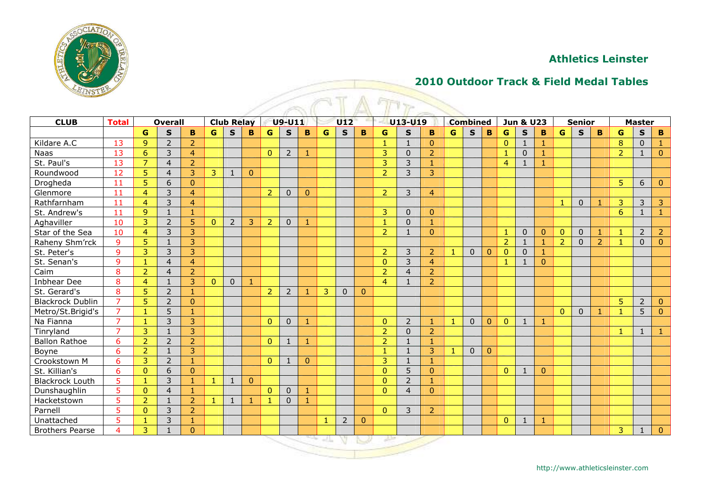

## **2010 Outdoor Track & Field Medal Tables**

| <b>ATTADT</b>           |                |                 |                |                |                |                   |              |                |                |              |             |                |              |                |                |                |              |                 |              |                      |              |              |                |                |              |                |               |                |
|-------------------------|----------------|-----------------|----------------|----------------|----------------|-------------------|--------------|----------------|----------------|--------------|-------------|----------------|--------------|----------------|----------------|----------------|--------------|-----------------|--------------|----------------------|--------------|--------------|----------------|----------------|--------------|----------------|---------------|----------------|
| <b>CLUB</b>             | <b>Total</b>   |                 | <b>Overall</b> |                |                | <b>Club Relay</b> |              |                | U9-U11         |              |             | U12            |              |                | U13-U19        |                |              | <b>Combined</b> |              | <b>Jun &amp; U23</b> |              |              |                | <b>Senior</b>  |              |                | <b>Master</b> |                |
|                         |                | G               | $\mathbf{s}$   | B              | G              | $\mathbf{s}$      | B            | $\mathbf{G}$   | $\mathbf{s}$   | B            | $\mathbf G$ | $\mathbf{s}$   | B            | G              | $\mathbf{s}$   | B              | G            | $\mathbf{s}$    | B            | G                    | $\mathbf{s}$ | B            | $\mathbf{G}$   | $\mathbf{s}$   | $\mathbf{B}$ | G              | $\mathbf{s}$  | $\mathbf B$    |
| Kildare A.C             | 13             | 9               | $\overline{2}$ | $\overline{2}$ |                |                   |              |                |                |              |             |                |              | $\overline{1}$ | $\mathbf{1}$   | $\mathbf{0}$   |              |                 |              | $\mathbf{0}$         | 1            | 1            |                |                |              | 8              | $\Omega$      |                |
| Naas                    | 13             | $6\phantom{1}6$ | $\overline{3}$ | $\overline{4}$ |                |                   |              | $\mathbf{0}$   | $\overline{2}$ | $\mathbf{1}$ |             |                |              | 3              | $\mathbf{0}$   | $\overline{2}$ |              |                 |              | $\mathbf{1}$         | $\mathbf 0$  | $\mathbf{1}$ |                |                |              | $\overline{2}$ | $\mathbf{1}$  | $\mathbf{0}$   |
| St. Paul's              | 13             | $\overline{7}$  | $\overline{4}$ | $\overline{2}$ |                |                   |              |                |                |              |             |                |              | 3              | $\overline{3}$ | $\overline{1}$ |              |                 |              | $\overline{4}$       | $\mathbf{1}$ | $\mathbf{1}$ |                |                |              |                |               |                |
| Roundwood               | 12             | $\overline{5}$  | $\overline{4}$ | 3              | 3              | $\overline{1}$    | $\mathbf{0}$ |                |                |              |             |                |              | $\overline{2}$ | $\overline{3}$ | 3              |              |                 |              |                      |              |              |                |                |              |                |               |                |
| Drogheda                | 11             | 5               | 6              | $\Omega$       |                |                   |              |                |                |              |             |                |              |                |                |                |              |                 |              |                      |              |              |                |                |              | 5              | 6             | $\mathbf{0}$   |
| Glenmore                | 11             | $\overline{4}$  | $\overline{3}$ | $\overline{4}$ |                |                   |              | $\overline{2}$ | $\Omega$       | $\mathbf{0}$ |             |                |              | $\overline{2}$ | $\overline{3}$ | $\overline{4}$ |              |                 |              |                      |              |              |                |                |              |                |               |                |
| Rathfarnham             | 11             | $\overline{4}$  | $\overline{3}$ | $\overline{4}$ |                |                   |              |                |                |              |             |                |              |                |                |                |              |                 |              |                      |              |              | $\overline{1}$ | $\mathbf 0$    | $\mathbf{1}$ | 3              | 3             | 3              |
| St. Andrew's            | 11             | 9               | $\mathbf{1}$   | 1              |                |                   |              |                |                |              |             |                |              | 3              | $\Omega$       | $\Omega$       |              |                 |              |                      |              |              |                |                |              | 6              | $\mathbf{1}$  | $\mathbf{1}$   |
| Aghaviller              | 10             | 3               | 2              | 5              | $\overline{0}$ | 2                 | 3            | $\overline{2}$ | $\mathbf{0}$   |              |             |                |              | $\mathbf{1}$   | $\Omega$       |                |              |                 |              |                      |              |              |                |                |              |                |               |                |
| Star of the Sea         | 10             | $\overline{4}$  | 3              | 3              |                |                   |              |                |                |              |             |                |              | $\overline{2}$ | $\mathbf{1}$   | $\Omega$       |              |                 |              | $\overline{1}$       | $\Omega$     | $\Omega$     | $\mathbf{0}$   | $\Omega$       | $\mathbf{1}$ | $\mathbf{1}$   | 2             | $\overline{2}$ |
| Raheny Shm'rck          | 9              | 5               | $\mathbf{1}$   | 3              |                |                   |              |                |                |              |             |                |              |                |                |                |              |                 |              | 2                    | -1           | 1            | $\overline{2}$ | $\Omega$       | 2            |                | $\Omega$      | $\mathbf{0}$   |
| St. Peter's             | 9              | 3               | 3              | 3              |                |                   |              |                |                |              |             |                |              | $\overline{2}$ | 3              | $\overline{2}$ | $\mathbf{1}$ | $\Omega$        | $\mathbf{0}$ | $\mathbf{0}$         | $\mathbf 0$  | 1            |                |                |              |                |               |                |
| St. Senan's             | 9              | $\mathbf{1}$    | $\overline{4}$ | $\overline{4}$ |                |                   |              |                |                |              |             |                |              | $\mathbf{0}$   | $\overline{3}$ | $\overline{4}$ |              |                 |              | 1                    | 1            | $\mathbf{0}$ |                |                |              |                |               |                |
| Caim                    | 8              | 2               | $\overline{4}$ | $\overline{2}$ |                |                   |              |                |                |              |             |                |              | 2              | $\overline{4}$ | $\overline{2}$ |              |                 |              |                      |              |              |                |                |              |                |               |                |
| Inbhear Dee             | 8              | $\overline{4}$  | $\mathbf{1}$   | 3              | $\overline{0}$ | $\mathbf{0}$      | 1            |                |                |              |             |                |              | $\overline{4}$ | $\mathbf{1}$   | $\overline{2}$ |              |                 |              |                      |              |              |                |                |              |                |               |                |
| St. Gerard's            | 8              | 5               | $\overline{2}$ | $\mathbf{1}$   |                |                   |              | $\overline{2}$ | $\overline{2}$ | 1            | 3           | $\mathbf{0}$   | $\mathbf{0}$ |                |                |                |              |                 |              |                      |              |              |                |                |              |                |               |                |
| <b>Blackrock Dublin</b> | $\overline{7}$ | $\overline{5}$  | $\overline{2}$ | $\Omega$       |                |                   |              |                |                |              |             |                |              |                |                |                |              |                 |              |                      |              |              |                |                |              | 5              | 2             | $\mathbf{0}$   |
| Metro/St.Brigid's       | $\overline{7}$ | $\overline{1}$  | 5              | 1              |                |                   |              |                |                |              |             |                |              |                |                |                |              |                 |              |                      |              |              | $\overline{0}$ | $\overline{0}$ | -1           | -1             | 5             | $\mathbf{0}$   |
| Na Fianna               | $\overline{7}$ | $\mathbf{1}$    | $\overline{3}$ | 3              |                |                   |              | $\mathbf{0}$   | $\overline{0}$ | 1            |             |                |              | $\mathbf{0}$   | $\overline{2}$ | -1             | $\mathbf{1}$ | $\mathbf{0}$    | $\mathbf{0}$ | $\mathbf{0}$         | $\mathbf{1}$ | 1            |                |                |              |                |               |                |
| Tinryland               | $\overline{7}$ | 3               | $\mathbf{1}$   | 3              |                |                   |              |                |                |              |             |                |              | $\overline{2}$ | $\Omega$       | $\overline{2}$ |              |                 |              |                      |              |              |                |                |              | $\mathbf{1}$   | $\mathbf{1}$  | -1             |
| <b>Ballon Rathoe</b>    | 6              | $\overline{2}$  | $\overline{2}$ | $\overline{2}$ |                |                   |              | $\mathbf{0}$   | $\mathbf{1}$   | 1            |             |                |              | $\overline{2}$ | $\mathbf{1}$   | -1             |              |                 |              |                      |              |              |                |                |              |                |               |                |
| Boyne                   | 6              | $\overline{2}$  | $\mathbf{1}$   | 3              |                |                   |              |                |                |              |             |                |              | $\mathbf{1}$   | $\mathbf{1}$   | 3              | $\mathbf{1}$ | $\Omega$        | $\Omega$     |                      |              |              |                |                |              |                |               |                |
| Crookstown M            | 6              | 3               | $\overline{2}$ | $\mathbf{1}$   |                |                   |              | $\Omega$       | $\mathbf{1}$   | $\Omega$     |             |                |              | 3              | $\mathbf{1}$   | 1              |              |                 |              |                      |              |              |                |                |              |                |               |                |
| St. Killian's           | 6              | $\Omega$        | 6              | $\Omega$       |                |                   |              |                |                |              |             |                |              | $\Omega$       | 5              | $\Omega$       |              |                 |              | $\mathbf{0}$         |              | $\Omega$     |                |                |              |                |               |                |
| <b>Blackrock Louth</b>  | 5              | $\overline{1}$  | 3              | $\mathbf{1}$   | $\mathbf{1}$   | $\mathbf{1}$      | $\Omega$     |                |                |              |             |                |              | $\Omega$       | $\overline{2}$ | 1              |              |                 |              |                      |              |              |                |                |              |                |               |                |
| Dunshaughlin            | 5              | $\Omega$        | $\overline{4}$ | $\mathbf{1}$   |                |                   |              | $\Omega$       | $\Omega$       | 1            |             |                |              | $\Omega$       | $\overline{4}$ | $\Omega$       |              |                 |              |                      |              |              |                |                |              |                |               |                |
| Hacketstown             | 5              | $\overline{2}$  | $\mathbf{1}$   | $\overline{2}$ | $\mathbf{1}$   | $\mathbf{1}$      |              | -1             | $\Omega$       | $\mathbf{1}$ |             |                |              |                |                |                |              |                 |              |                      |              |              |                |                |              |                |               |                |
| Parnell                 | 5              | $\mathbf{0}$    | 3              | $\overline{2}$ |                |                   |              |                |                |              |             |                |              | $\mathbf{0}$   | 3              | $\overline{2}$ |              |                 |              |                      |              |              |                |                |              |                |               |                |
| Unattached              | 5              | $\mathbf{1}$    | 3              | 1              |                |                   |              |                |                |              | -1          | $\overline{2}$ | $\mathbf{0}$ |                |                |                |              |                 |              | $\mathbf{0}$         | -1           | 1            |                |                |              |                |               |                |
| <b>Brothers Pearse</b>  | 4              | 3               | $\mathbf{1}$   | $\Omega$       |                |                   |              |                |                |              |             |                |              |                |                |                |              |                 |              |                      |              |              |                |                |              | 3              | 1             | $\mathbf{0}$   |
|                         |                |                 |                |                |                |                   |              |                |                |              |             |                |              | سنزل           |                |                |              |                 |              |                      |              |              |                |                |              |                |               |                |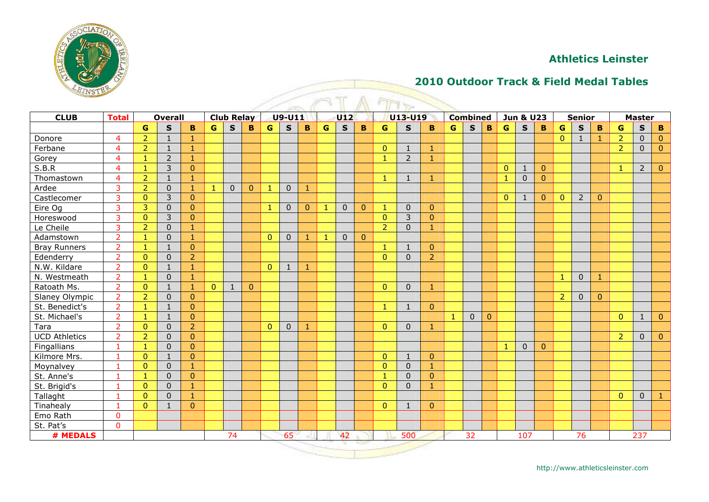

## **2010 Outdoor Track & Field Medal Tables**

| <b>ATIANTA</b>       |                |                |                |                |              |              |              |                |                |              |              |              |                |                |                |                |              |              |              |              |                |                |                |                |                | $\sqrt{1 + \gamma}$<br><b>CLUB</b><br><b>Combined</b><br><b>Jun &amp; U23</b><br><b>Total</b><br><b>Overall</b><br><b>Club Relay</b><br><b>U9-U11</b><br>U12<br>U13-U19<br><b>Senior</b><br><b>Master</b> |                |                |  |  |  |  |  |  |  |  |  |  |  |  |
|----------------------|----------------|----------------|----------------|----------------|--------------|--------------|--------------|----------------|----------------|--------------|--------------|--------------|----------------|----------------|----------------|----------------|--------------|--------------|--------------|--------------|----------------|----------------|----------------|----------------|----------------|-----------------------------------------------------------------------------------------------------------------------------------------------------------------------------------------------------------|----------------|----------------|--|--|--|--|--|--|--|--|--|--|--|--|
|                      |                |                |                |                |              |              |              |                |                |              |              |              |                |                |                |                |              |              |              |              |                |                |                |                |                |                                                                                                                                                                                                           |                |                |  |  |  |  |  |  |  |  |  |  |  |  |
|                      |                | G              | $\mathbf{s}$   | B              | G            | $\mathbf{s}$ | B            | $\mathbf{G}$   | $\mathsf{s}$   | B            | G            | $\mathbf{s}$ | B              | G              | $\mathbf{s}$   | B              | $\mathbf G$  | $\mathbf{s}$ | $\mathbf B$  | $\mathbf G$  | $\mathbf{s}$   | B              | $\mathbf{G}$   | $\mathbf{s}$   | B              | G                                                                                                                                                                                                         | $\mathbf{s}$   | $\mathbf B$    |  |  |  |  |  |  |  |  |  |  |  |  |
| Donore               | $\overline{4}$ | $\overline{2}$ | $\mathbf{1}$   | 1              |              |              |              |                |                |              |              |              |                |                |                |                |              |              |              |              |                |                | $\overline{0}$ | $\mathbf{1}$   | 1              | $\overline{2}$                                                                                                                                                                                            | $\mathbf{0}$   | $\mathbf{0}$   |  |  |  |  |  |  |  |  |  |  |  |  |
| Ferbane              | $\overline{4}$ | $\overline{2}$ | $\mathbf{1}$   | $\mathbf{1}$   |              |              |              |                |                |              |              |              |                | $\overline{0}$ | $\mathbf{1}$   | $\mathbf{1}$   |              |              |              |              |                |                |                |                |                | $\overline{2}$                                                                                                                                                                                            | $\mathbf 0$    | $\mathbf{0}$   |  |  |  |  |  |  |  |  |  |  |  |  |
| Gorey                | $\overline{4}$ | $\mathbf{1}$   | $\overline{2}$ | $\mathbf{1}$   |              |              |              |                |                |              |              |              |                | $\mathbf{1}$   | $\overline{2}$ | $\mathbf{1}$   |              |              |              |              |                |                |                |                |                |                                                                                                                                                                                                           |                |                |  |  |  |  |  |  |  |  |  |  |  |  |
| S.B.R                | $\overline{4}$ | 1              | 3              | $\overline{0}$ |              |              |              |                |                |              |              |              |                |                |                |                |              |              |              | $\mathbf{0}$ | -1             | $\mathbf{0}$   |                |                |                | -1                                                                                                                                                                                                        | $\overline{2}$ | $\mathbf{0}$   |  |  |  |  |  |  |  |  |  |  |  |  |
| Thomastown           | $\overline{4}$ | $\overline{2}$ | $\mathbf{1}$   | $\mathbf{1}$   |              |              |              |                |                |              |              |              |                | $\mathbf{1}$   | $\mathbf{1}$   | $\mathbf{1}$   |              |              |              | $\mathbf{1}$ | $\mathbf 0$    | $\overline{0}$ |                |                |                |                                                                                                                                                                                                           |                |                |  |  |  |  |  |  |  |  |  |  |  |  |
| Ardee                | 3              | 2              | $\mathbf{0}$   | $\mathbf{1}$   | $\mathbf{1}$ | $\mathbf{0}$ | $\Omega$     | 1              | $\Omega$       | $\mathbf{1}$ |              |              |                |                |                |                |              |              |              |              |                |                |                |                |                |                                                                                                                                                                                                           |                |                |  |  |  |  |  |  |  |  |  |  |  |  |
| Castlecomer          | 3              | $\Omega$       | 3              | $\overline{0}$ |              |              |              |                |                |              |              |              |                |                |                |                |              |              |              | $\mathbf{0}$ |                | $\Omega$       | $\mathbf{0}$   | $\overline{2}$ | $\mathbf{0}$   |                                                                                                                                                                                                           |                |                |  |  |  |  |  |  |  |  |  |  |  |  |
| Eire Og              | $\overline{3}$ | 3              | $\mathbf{0}$   | $\Omega$       |              |              |              | -1             | $\overline{0}$ | $\mathbf{0}$ | -1           | $\Omega$     | $\Omega$       | $\mathbf{1}$   | $\Omega$       | $\Omega$       |              |              |              |              |                |                |                |                |                |                                                                                                                                                                                                           |                |                |  |  |  |  |  |  |  |  |  |  |  |  |
| Horeswood            | $\overline{3}$ | $\Omega$       | $\overline{3}$ | $\Omega$       |              |              |              |                |                |              |              |              |                | $\Omega$       | $\overline{3}$ | $\Omega$       |              |              |              |              |                |                |                |                |                |                                                                                                                                                                                                           |                |                |  |  |  |  |  |  |  |  |  |  |  |  |
| Le Cheile            | $\overline{3}$ | $\overline{2}$ | $\Omega$       | $\mathbf{1}$   |              |              |              |                |                |              |              |              |                | $\overline{2}$ | $\Omega$       | $\mathbf{1}$   |              |              |              |              |                |                |                |                |                |                                                                                                                                                                                                           |                |                |  |  |  |  |  |  |  |  |  |  |  |  |
| Adamstown            | $\overline{2}$ | $\mathbf{1}$   | $\overline{0}$ | $\mathbf{1}$   |              |              |              | $\mathbf{0}$   | $\mathbf 0$    | $\mathbf{1}$ | $\mathbf{1}$ | $\Omega$     | $\overline{0}$ |                |                |                |              |              |              |              |                |                |                |                |                |                                                                                                                                                                                                           |                |                |  |  |  |  |  |  |  |  |  |  |  |  |
| <b>Bray Runners</b>  | $\overline{2}$ | $\mathbf{1}$   | $\mathbf{1}$   | $\overline{0}$ |              |              |              |                |                |              |              |              |                | $\mathbf{1}$   | $\mathbf{1}$   | $\Omega$       |              |              |              |              |                |                |                |                |                |                                                                                                                                                                                                           |                |                |  |  |  |  |  |  |  |  |  |  |  |  |
| Edenderry            | $\overline{2}$ | $\Omega$       | $\Omega$       | $\overline{2}$ |              |              |              |                |                |              |              |              |                | $\Omega$       | $\Omega$       | $\overline{2}$ |              |              |              |              |                |                |                |                |                |                                                                                                                                                                                                           |                |                |  |  |  |  |  |  |  |  |  |  |  |  |
| N.W. Kildare         | $\overline{2}$ | $\mathbf{0}$   | $\mathbf{1}$   | $\mathbf{1}$   |              |              |              | $\mathbf{0}$   | $\overline{1}$ | $\mathbf{1}$ |              |              |                |                |                |                |              |              |              |              |                |                |                |                |                |                                                                                                                                                                                                           |                |                |  |  |  |  |  |  |  |  |  |  |  |  |
| N. Westmeath         | $\overline{2}$ | $\mathbf{1}$   | $\overline{0}$ | 1              |              |              |              |                |                |              |              |              |                |                |                |                |              |              |              |              |                |                | $\mathbf{1}$   | $\mathbf{0}$   | $\mathbf{1}$   |                                                                                                                                                                                                           |                |                |  |  |  |  |  |  |  |  |  |  |  |  |
| Ratoath Ms.          | $\overline{2}$ | $\mathbf{0}$   | $\mathbf{1}$   | 1              | $\mathbf{0}$ | $\mathbf{1}$ | $\mathbf{0}$ |                |                |              |              |              |                | $\Omega$       | $\Omega$       | $\mathbf{1}$   |              |              |              |              |                |                |                |                |                |                                                                                                                                                                                                           |                |                |  |  |  |  |  |  |  |  |  |  |  |  |
| Slaney Olympic       | $\overline{2}$ | $\overline{2}$ | $\overline{0}$ | $\Omega$       |              |              |              |                |                |              |              |              |                |                |                |                |              |              |              |              |                |                | 2              | $\mathbf{0}$   | $\overline{0}$ |                                                                                                                                                                                                           |                |                |  |  |  |  |  |  |  |  |  |  |  |  |
| St. Benedict's       | $\overline{2}$ | $\mathbf{1}$   | $\mathbf{1}$   | $\Omega$       |              |              |              |                |                |              |              |              |                | $\mathbf{1}$   | $\mathbf{1}$   | $\Omega$       |              |              |              |              |                |                |                |                |                |                                                                                                                                                                                                           |                |                |  |  |  |  |  |  |  |  |  |  |  |  |
| St. Michael's        | $\overline{2}$ | 1              | $\mathbf{1}$   | $\Omega$       |              |              |              |                |                |              |              |              |                |                |                |                | $\mathbf{1}$ | $\Omega$     | $\mathbf{0}$ |              |                |                |                |                |                | $\Omega$                                                                                                                                                                                                  | $\mathbf{1}$   | $\overline{0}$ |  |  |  |  |  |  |  |  |  |  |  |  |
| Tara                 | $\overline{2}$ | $\mathbf{0}$   | $\mathbf{0}$   | $\overline{2}$ |              |              |              | $\overline{0}$ | $\overline{0}$ | $\mathbf{1}$ |              |              |                | $\Omega$       | $\Omega$       | $\mathbf{1}$   |              |              |              |              |                |                |                |                |                |                                                                                                                                                                                                           |                |                |  |  |  |  |  |  |  |  |  |  |  |  |
| <b>UCD Athletics</b> | $\overline{2}$ | $\overline{2}$ | $\overline{0}$ | $\Omega$       |              |              |              |                |                |              |              |              |                |                |                |                |              |              |              |              |                |                |                |                |                | $\overline{2}$                                                                                                                                                                                            | $\mathbf{0}$   | $\pmb{0}$      |  |  |  |  |  |  |  |  |  |  |  |  |
| Fingallians          | $\mathbf{1}$   | $\mathbf{1}$   | $\mathbf 0$    | $\overline{0}$ |              |              |              |                |                |              |              |              |                |                |                |                |              |              |              | $\mathbf{1}$ | $\overline{0}$ | $\Omega$       |                |                |                |                                                                                                                                                                                                           |                |                |  |  |  |  |  |  |  |  |  |  |  |  |
| Kilmore Mrs.         |                | $\mathbf{0}$   | $\mathbf{1}$   | $\Omega$       |              |              |              |                |                |              |              |              |                | $\mathbf{0}$   | $\mathbf{1}$   | $\mathbf{0}$   |              |              |              |              |                |                |                |                |                |                                                                                                                                                                                                           |                |                |  |  |  |  |  |  |  |  |  |  |  |  |
| Moynalvey            | $\overline{1}$ | $\Omega$       | $\Omega$       | $\mathbf{1}$   |              |              |              |                |                |              |              |              |                | $\Omega$       | $\overline{0}$ | $\mathbf{1}$   |              |              |              |              |                |                |                |                |                |                                                                                                                                                                                                           |                |                |  |  |  |  |  |  |  |  |  |  |  |  |
| St. Anne's           | $\mathbf{1}$   | $\mathbf{1}$   | $\Omega$       | $\overline{0}$ |              |              |              |                |                |              |              |              |                | $\mathbf{1}$   | $\Omega$       | $\Omega$       |              |              |              |              |                |                |                |                |                |                                                                                                                                                                                                           |                |                |  |  |  |  |  |  |  |  |  |  |  |  |
| St. Brigid's         | $\mathbf{1}$   | $\mathbf{0}$   | $\overline{0}$ | $\mathbf{1}$   |              |              |              |                |                |              |              |              |                | $\Omega$       | $\mathbf 0$    | ٦              |              |              |              |              |                |                |                |                |                |                                                                                                                                                                                                           |                |                |  |  |  |  |  |  |  |  |  |  |  |  |
| Tallaght             | $\mathbf{1}$   | $\Omega$       | $\overline{0}$ | $\mathbf{1}$   |              |              |              |                |                |              |              |              |                |                |                |                |              |              |              |              |                |                |                |                |                | $\overline{0}$                                                                                                                                                                                            | $\mathbf 0$    |                |  |  |  |  |  |  |  |  |  |  |  |  |
| Tinahealy            | $\overline{1}$ | $\Omega$       | $\mathbf{1}$   | $\Omega$       |              |              |              |                |                |              |              |              |                | $\Omega$       | $\mathbf{1}$   | $\Omega$       |              |              |              |              |                |                |                |                |                |                                                                                                                                                                                                           |                |                |  |  |  |  |  |  |  |  |  |  |  |  |
| Emo Rath             | $\mathbf 0$    |                |                |                |              |              |              |                |                |              |              |              |                |                |                |                |              |              |              |              |                |                |                |                |                |                                                                                                                                                                                                           |                |                |  |  |  |  |  |  |  |  |  |  |  |  |
| St. Pat's            | $\mathbf{0}$   |                |                |                |              |              |              |                |                |              |              |              |                |                |                |                |              |              |              |              |                |                |                |                |                |                                                                                                                                                                                                           |                |                |  |  |  |  |  |  |  |  |  |  |  |  |
| # MEDALS             |                | 74             |                |                |              |              |              |                | 65             |              |              | 42           |                |                | 500            |                |              | 32           |              |              | 107            |                |                | 76             |                |                                                                                                                                                                                                           | 237            |                |  |  |  |  |  |  |  |  |  |  |  |  |

http://www.athleticsleinster.com